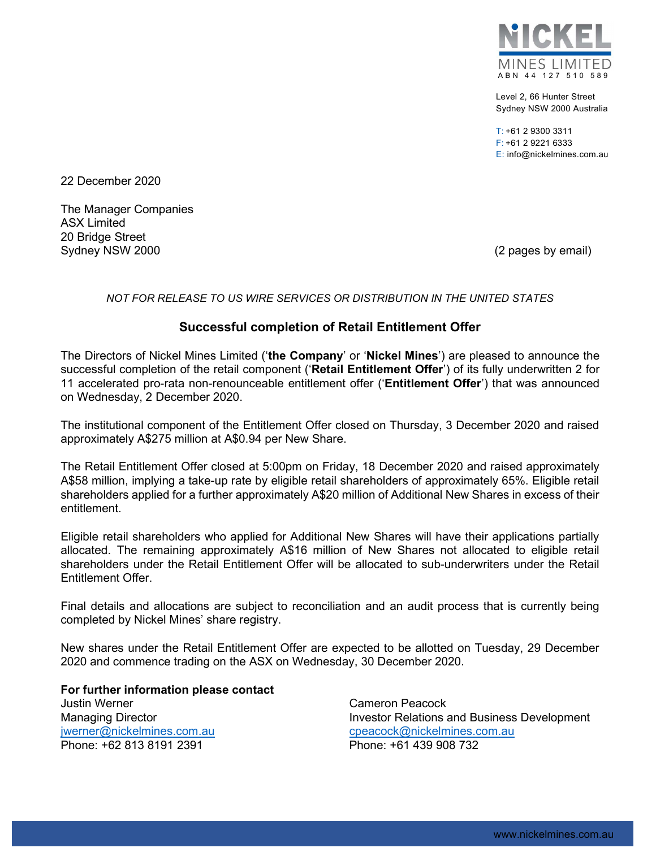

Level 2, 66 Hunter Street Sydney NSW 2000 Australia

T: +61 2 9300 3311 F: +61 2 9221 6333 E: info@nickelmines.com.au

22 December 2020

The Manager Companies ASX Limited 20 Bridge Street Sydney NSW 2000 (2 pages by email)

## NOT FOR RELEASE TO US WIRE SERVICES OR DISTRIBUTION IN THE UNITED STATES

## Successful completion of Retail Entitlement Offer

The Directors of Nickel Mines Limited ('the Company' or 'Nickel Mines') are pleased to announce the successful completion of the retail component ('Retail Entitlement Offer') of its fully underwritten 2 for 11 accelerated pro-rata non-renounceable entitlement offer ('Entitlement Offer') that was announced on Wednesday, 2 December 2020.

The institutional component of the Entitlement Offer closed on Thursday, 3 December 2020 and raised approximately A\$275 million at A\$0.94 per New Share.

The Retail Entitlement Offer closed at 5:00pm on Friday, 18 December 2020 and raised approximately A\$58 million, implying a take-up rate by eligible retail shareholders of approximately 65%. Eligible retail shareholders applied for a further approximately A\$20 million of Additional New Shares in excess of their entitlement.

Eligible retail shareholders who applied for Additional New Shares will have their applications partially allocated. The remaining approximately A\$16 million of New Shares not allocated to eligible retail shareholders under the Retail Entitlement Offer will be allocated to sub-underwriters under the Retail Entitlement Offer.

Final details and allocations are subject to reconciliation and an audit process that is currently being completed by Nickel Mines' share registry.

New shares under the Retail Entitlement Offer are expected to be allotted on Tuesday, 29 December 2020 and commence trading on the ASX on Wednesday, 30 December 2020.

For further information please contact Justin Werner Managing Director jwerner@nickelmines.com.au Phone: +62 813 8191 2391

Cameron Peacock Investor Relations and Business Development cpeacock@nickelmines.com.au Phone: +61 439 908 732